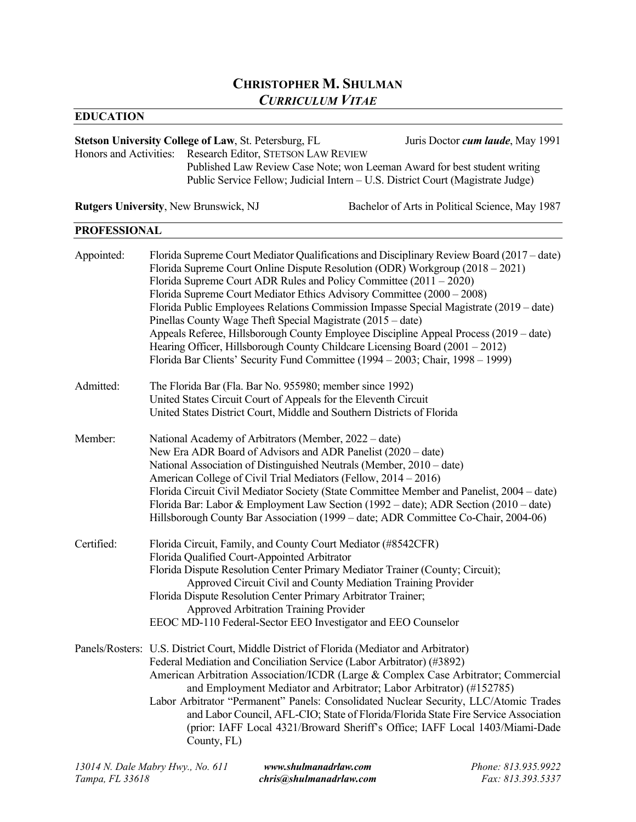# **CHRISTOPHER M. SHULMAN** *CURRICULUM VITAE*

## **EDUCATION**

| <b>Stetson University College of Law, St. Petersburg, FL</b>                                                                                                 | Juris Doctor <i>cum laude</i> , May 1991 |
|--------------------------------------------------------------------------------------------------------------------------------------------------------------|------------------------------------------|
| Honors and Activities: Research Editor, STETSON LAW REVIEW                                                                                                   |                                          |
| Published Law Review Case Note; won Leeman Award for best student writing<br>Public Service Fellow; Judicial Intern – U.S. District Court (Magistrate Judge) |                                          |
|                                                                                                                                                              |                                          |

**Rutgers University**, New Brunswick, NJ Bachelor of Arts in Political Science, May 1987

## **PROFESSIONAL**

| Appointed: | Florida Supreme Court Mediator Qualifications and Disciplinary Review Board (2017 – date)<br>Florida Supreme Court Online Dispute Resolution (ODR) Workgroup (2018 – 2021)<br>Florida Supreme Court ADR Rules and Policy Committee $(2011 - 2020)$<br>Florida Supreme Court Mediator Ethics Advisory Committee (2000 – 2008)<br>Florida Public Employees Relations Commission Impasse Special Magistrate (2019 – date)<br>Pinellas County Wage Theft Special Magistrate (2015 – date)<br>Appeals Referee, Hillsborough County Employee Discipline Appeal Process (2019 – date)<br>Hearing Officer, Hillsborough County Childcare Licensing Board (2001 – 2012)<br>Florida Bar Clients' Security Fund Committee (1994 - 2003; Chair, 1998 - 1999) |
|------------|--------------------------------------------------------------------------------------------------------------------------------------------------------------------------------------------------------------------------------------------------------------------------------------------------------------------------------------------------------------------------------------------------------------------------------------------------------------------------------------------------------------------------------------------------------------------------------------------------------------------------------------------------------------------------------------------------------------------------------------------------|
| Admitted:  | The Florida Bar (Fla. Bar No. 955980; member since 1992)<br>United States Circuit Court of Appeals for the Eleventh Circuit<br>United States District Court, Middle and Southern Districts of Florida                                                                                                                                                                                                                                                                                                                                                                                                                                                                                                                                            |
| Member:    | National Academy of Arbitrators (Member, 2022 – date)<br>New Era ADR Board of Advisors and ADR Panelist (2020 – date)<br>National Association of Distinguished Neutrals (Member, 2010 – date)<br>American College of Civil Trial Mediators (Fellow, 2014 – 2016)<br>Florida Circuit Civil Mediator Society (State Committee Member and Panelist, 2004 – date)<br>Florida Bar: Labor & Employment Law Section (1992 – date); ADR Section (2010 – date)<br>Hillsborough County Bar Association (1999 – date; ADR Committee Co-Chair, 2004-06)                                                                                                                                                                                                      |
| Certified: | Florida Circuit, Family, and County Court Mediator (#8542CFR)<br>Florida Qualified Court-Appointed Arbitrator<br>Florida Dispute Resolution Center Primary Mediator Trainer (County; Circuit);<br>Approved Circuit Civil and County Mediation Training Provider<br>Florida Dispute Resolution Center Primary Arbitrator Trainer;<br><b>Approved Arbitration Training Provider</b><br>EEOC MD-110 Federal-Sector EEO Investigator and EEO Counselor                                                                                                                                                                                                                                                                                               |
|            | Panels/Rosters: U.S. District Court, Middle District of Florida (Mediator and Arbitrator)<br>Federal Mediation and Conciliation Service (Labor Arbitrator) (#3892)<br>American Arbitration Association/ICDR (Large & Complex Case Arbitrator; Commercial<br>and Employment Mediator and Arbitrator; Labor Arbitrator) (#152785)<br>Labor Arbitrator "Permanent" Panels: Consolidated Nuclear Security, LLC/Atomic Trades<br>and Labor Council, AFL-CIO; State of Florida/Florida State Fire Service Association<br>(prior: IAFF Local 4321/Broward Sheriff's Office; IAFF Local 1403/Miami-Dade<br>County, FL)                                                                                                                                   |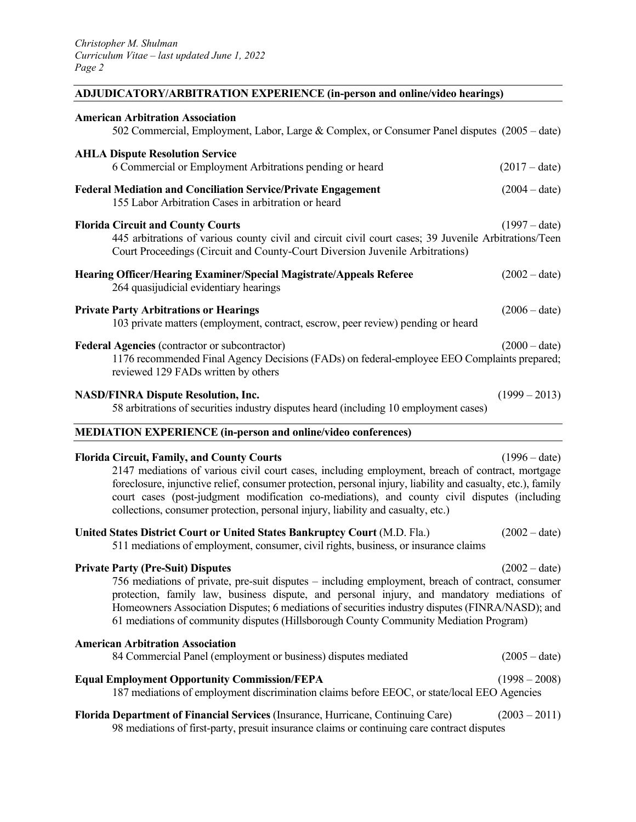## **ADJUDICATORY/ARBITRATION EXPERIENCE (in-person and online/video hearings)**

| <b>American Arbitration Association</b><br>502 Commercial, Employment, Labor, Large & Complex, or Consumer Panel disputes (2005 – date)                                                                                                                                                                                                                                                                                                                  |                 |
|----------------------------------------------------------------------------------------------------------------------------------------------------------------------------------------------------------------------------------------------------------------------------------------------------------------------------------------------------------------------------------------------------------------------------------------------------------|-----------------|
| <b>AHLA Dispute Resolution Service</b><br>6 Commercial or Employment Arbitrations pending or heard                                                                                                                                                                                                                                                                                                                                                       | $(2017 - date)$ |
| <b>Federal Mediation and Conciliation Service/Private Engagement</b><br>155 Labor Arbitration Cases in arbitration or heard                                                                                                                                                                                                                                                                                                                              | $(2004 - date)$ |
| <b>Florida Circuit and County Courts</b><br>445 arbitrations of various county civil and circuit civil court cases; 39 Juvenile Arbitrations/Teen<br>Court Proceedings (Circuit and County-Court Diversion Juvenile Arbitrations)                                                                                                                                                                                                                        | $(1997 - date)$ |
| Hearing Officer/Hearing Examiner/Special Magistrate/Appeals Referee<br>264 quasijudicial evidentiary hearings                                                                                                                                                                                                                                                                                                                                            | $(2002 - date)$ |
| <b>Private Party Arbitrations or Hearings</b><br>103 private matters (employment, contract, escrow, peer review) pending or heard                                                                                                                                                                                                                                                                                                                        | $(2006 - date)$ |
| Federal Agencies (contractor or subcontractor)<br>1176 recommended Final Agency Decisions (FADs) on federal-employee EEO Complaints prepared;<br>reviewed 129 FADs written by others                                                                                                                                                                                                                                                                     | $(2000 - date)$ |
| <b>NASD/FINRA Dispute Resolution, Inc.</b><br>58 arbitrations of securities industry disputes heard (including 10 employment cases)                                                                                                                                                                                                                                                                                                                      | $(1999 - 2013)$ |
|                                                                                                                                                                                                                                                                                                                                                                                                                                                          |                 |
| <b>MEDIATION EXPERIENCE (in-person and online/video conferences)</b>                                                                                                                                                                                                                                                                                                                                                                                     |                 |
| <b>Florida Circuit, Family, and County Courts</b><br>2147 mediations of various civil court cases, including employment, breach of contract, mortgage<br>foreclosure, injunctive relief, consumer protection, personal injury, liability and casualty, etc.), family<br>court cases (post-judgment modification co-mediations), and county civil disputes (including<br>collections, consumer protection, personal injury, liability and casualty, etc.) | $(1996 - date)$ |
| United States District Court or United States Bankruptcy Court (M.D. Fla.)<br>511 mediations of employment, consumer, civil rights, business, or insurance claims                                                                                                                                                                                                                                                                                        | $(2002 - date)$ |
| <b>Private Party (Pre-Suit) Disputes</b><br>756 mediations of private, pre-suit disputes - including employment, breach of contract, consumer<br>protection, family law, business dispute, and personal injury, and mandatory mediations of<br>Homeowners Association Disputes; 6 mediations of securities industry disputes (FINRA/NASD); and<br>61 mediations of community disputes (Hillsborough County Community Mediation Program)                  | $(2002 - date)$ |
| <b>American Arbitration Association</b><br>84 Commercial Panel (employment or business) disputes mediated                                                                                                                                                                                                                                                                                                                                                | $(2005 - date)$ |
| <b>Equal Employment Opportunity Commission/FEPA</b><br>187 mediations of employment discrimination claims before EEOC, or state/local EEO Agencies                                                                                                                                                                                                                                                                                                       | $(1998 - 2008)$ |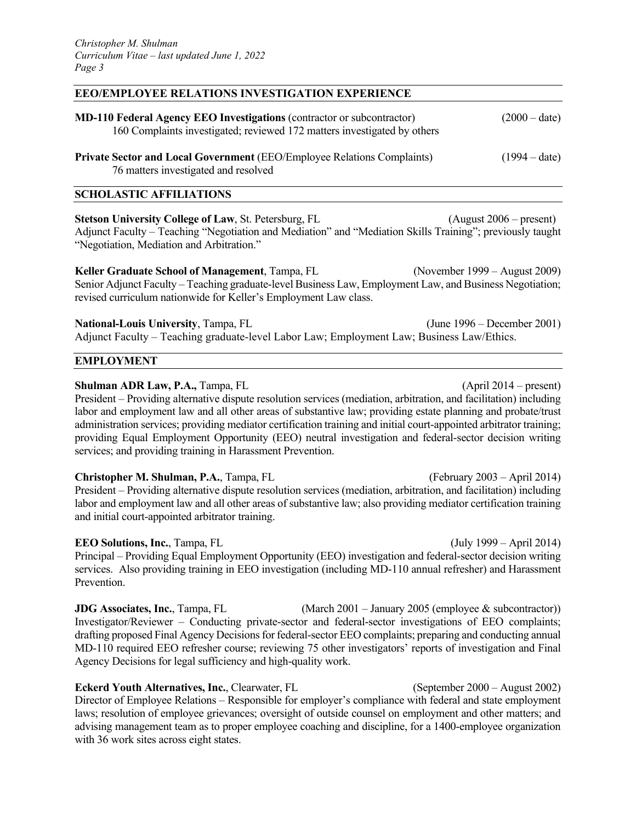#### **EEO/EMPLOYEE RELATIONS INVESTIGATION EXPERIENCE**

| <b>MD-110 Federal Agency EEO Investigations (contractor or subcontractor)</b><br>160 Complaints investigated; reviewed 172 matters investigated by others | $(2000 - date)$ |
|-----------------------------------------------------------------------------------------------------------------------------------------------------------|-----------------|
| <b>Private Sector and Local Government (EEO/Employee Relations Complaints)</b><br>76 matters investigated and resolved                                    | $(1994 - date)$ |

#### **SCHOLASTIC AFFILIATIONS**

**Stetson University College of Law**, St. Petersburg, FL (August 2006 – present) Adjunct Faculty – Teaching "Negotiation and Mediation" and "Mediation Skills Training"; previously taught "Negotiation, Mediation and Arbitration."

**Keller Graduate School of Management**, Tampa, FL (November 1999 – August 2009) Senior Adjunct Faculty – Teaching graduate-level Business Law, Employment Law, and Business Negotiation; revised curriculum nationwide for Keller's Employment Law class.

**National-Louis University**, Tampa, FL (June 1996 – December 2001) Adjunct Faculty – Teaching graduate-level Labor Law; Employment Law; Business Law/Ethics.

#### **EMPLOYMENT**

#### **Shulman ADR Law, P.A.,** Tampa, FL (April 2014 – present)

President – Providing alternative dispute resolution services (mediation, arbitration, and facilitation) including labor and employment law and all other areas of substantive law; providing estate planning and probate/trust administration services; providing mediator certification training and initial court-appointed arbitrator training; providing Equal Employment Opportunity (EEO) neutral investigation and federal-sector decision writing services; and providing training in Harassment Prevention.

**Christopher M. Shulman, P.A.**, Tampa, FL (February 2003 – April 2014) President – Providing alternative dispute resolution services (mediation, arbitration, and facilitation) including labor and employment law and all other areas of substantive law; also providing mediator certification training and initial court-appointed arbitrator training.

**EEO Solutions, Inc.**, Tampa, FL (July 1999 – April 2014) Principal – Providing Equal Employment Opportunity (EEO) investigation and federal-sector decision writing services. Also providing training in EEO investigation (including MD-110 annual refresher) and Harassment Prevention.

**JDG Associates, Inc.**, Tampa, FL (March 2001 – January 2005 (employee & subcontractor)) Investigator/Reviewer – Conducting private-sector and federal-sector investigations of EEO complaints; drafting proposed Final Agency Decisions for federal-sector EEO complaints; preparing and conducting annual MD-110 required EEO refresher course; reviewing 75 other investigators' reports of investigation and Final Agency Decisions for legal sufficiency and high-quality work.

**Eckerd Youth Alternatives, Inc.**, Clearwater, FL (September 2000 – August 2002) Director of Employee Relations – Responsible for employer's compliance with federal and state employment laws; resolution of employee grievances; oversight of outside counsel on employment and other matters; and advising management team as to proper employee coaching and discipline, for a 1400-employee organization with 36 work sites across eight states.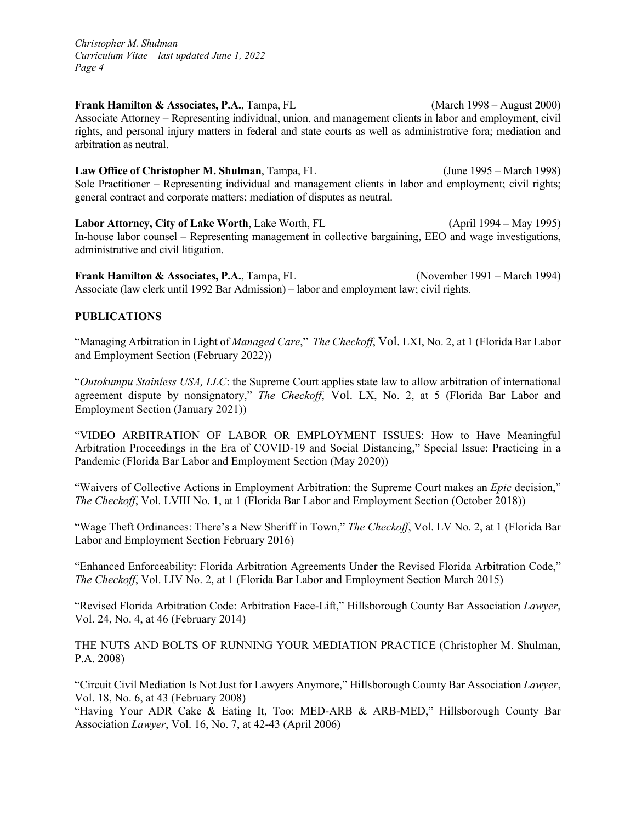**Frank Hamilton & Associates, P.A., Tampa, FL** (March 1998 – August 2000) Associate Attorney – Representing individual, union, and management clients in labor and employment, civil rights, and personal injury matters in federal and state courts as well as administrative fora; mediation and arbitration as neutral.

**Law Office of Christopher M. Shulman**, Tampa, FL (June 1995 – March 1998) Sole Practitioner – Representing individual and management clients in labor and employment; civil rights; general contract and corporate matters; mediation of disputes as neutral.

**Labor Attorney, City of Lake Worth**, Lake Worth, FL (April 1994 – May 1995) In-house labor counsel – Representing management in collective bargaining, EEO and wage investigations, administrative and civil litigation.

**Frank Hamilton & Associates, P.A., Tampa, FL** (November 1991 – March 1994) Associate (law clerk until 1992 Bar Admission) – labor and employment law; civil rights.

#### **PUBLICATIONS**

"Managing Arbitration in Light of *Managed Care*," *The Checkoff*, Vol. LXI, No. 2, at 1 (Florida Bar Labor and Employment Section (February 2022))

"*Outokumpu Stainless USA, LLC*: the Supreme Court applies state law to allow arbitration of international agreement dispute by nonsignatory," *The Checkoff*, Vol. LX, No. 2, at 5 (Florida Bar Labor and Employment Section (January 2021))

"VIDEO ARBITRATION OF LABOR OR EMPLOYMENT ISSUES: How to Have Meaningful Arbitration Proceedings in the Era of COVID-19 and Social Distancing," Special Issue: Practicing in a Pandemic (Florida Bar Labor and Employment Section (May 2020))

"Waivers of Collective Actions in Employment Arbitration: the Supreme Court makes an *Epic* decision," *The Checkoff*, Vol. LVIII No. 1, at 1 (Florida Bar Labor and Employment Section (October 2018))

"Wage Theft Ordinances: There's a New Sheriff in Town," *The Checkoff*, Vol. LV No. 2, at 1 (Florida Bar Labor and Employment Section February 2016)

"Enhanced Enforceability: Florida Arbitration Agreements Under the Revised Florida Arbitration Code," *The Checkoff*, Vol. LIV No. 2, at 1 (Florida Bar Labor and Employment Section March 2015)

"Revised Florida Arbitration Code: Arbitration Face-Lift," Hillsborough County Bar Association *Lawyer*, Vol. 24, No. 4, at 46 (February 2014)

THE NUTS AND BOLTS OF RUNNING YOUR MEDIATION PRACTICE (Christopher M. Shulman, P.A. 2008)

"Circuit Civil Mediation Is Not Just for Lawyers Anymore," Hillsborough County Bar Association *Lawyer*, Vol. 18, No. 6, at 43 (February 2008)

"Having Your ADR Cake & Eating It, Too: MED-ARB & ARB-MED," Hillsborough County Bar Association *Lawyer*, Vol. 16, No. 7, at 42-43 (April 2006)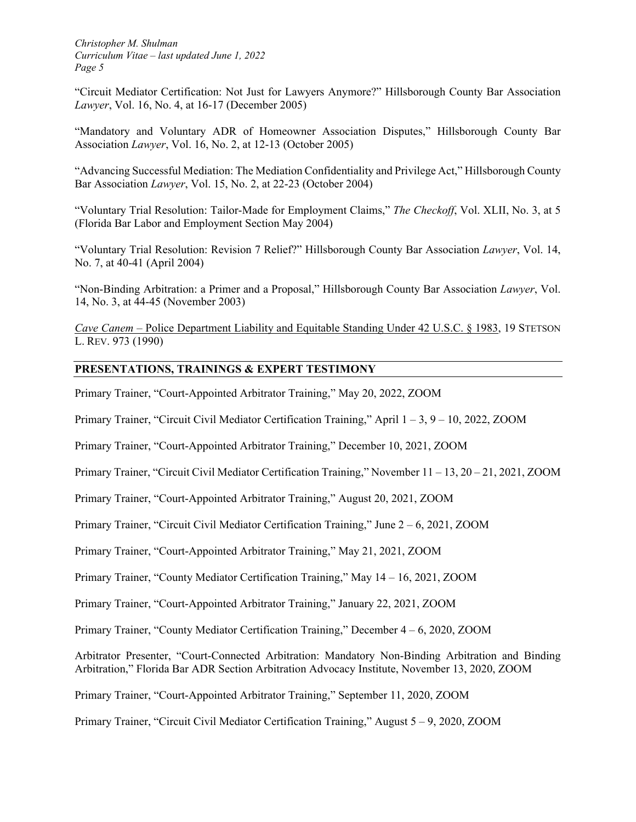"Circuit Mediator Certification: Not Just for Lawyers Anymore?" Hillsborough County Bar Association *Lawyer*, Vol. 16, No. 4, at 16-17 (December 2005)

"Mandatory and Voluntary ADR of Homeowner Association Disputes," Hillsborough County Bar Association *Lawyer*, Vol. 16, No. 2, at 12-13 (October 2005)

"Advancing Successful Mediation: The Mediation Confidentiality and Privilege Act," Hillsborough County Bar Association *Lawyer*, Vol. 15, No. 2, at 22-23 (October 2004)

"Voluntary Trial Resolution: Tailor-Made for Employment Claims," *The Checkoff*, Vol. XLII, No. 3, at 5 (Florida Bar Labor and Employment Section May 2004)

"Voluntary Trial Resolution: Revision 7 Relief?" Hillsborough County Bar Association *Lawyer*, Vol. 14, No. 7, at 40-41 (April 2004)

"Non-Binding Arbitration: a Primer and a Proposal," Hillsborough County Bar Association *Lawyer*, Vol. 14, No. 3, at 44-45 (November 2003)

*Cave Canem* – Police Department Liability and Equitable Standing Under 42 U.S.C. § 1983, 19 STETSON L. REV. 973 (1990)

### **PRESENTATIONS, TRAININGS & EXPERT TESTIMONY**

Primary Trainer, "Court-Appointed Arbitrator Training," May 20, 2022, ZOOM

Primary Trainer, "Circuit Civil Mediator Certification Training," April 1 – 3, 9 – 10, 2022, ZOOM

Primary Trainer, "Court-Appointed Arbitrator Training," December 10, 2021, ZOOM

Primary Trainer, "Circuit Civil Mediator Certification Training," November 11 – 13, 20 – 21, 2021, ZOOM

Primary Trainer, "Court-Appointed Arbitrator Training," August 20, 2021, ZOOM

Primary Trainer, "Circuit Civil Mediator Certification Training," June 2 – 6, 2021, ZOOM

Primary Trainer, "Court-Appointed Arbitrator Training," May 21, 2021, ZOOM

Primary Trainer, "County Mediator Certification Training," May 14 – 16, 2021, ZOOM

Primary Trainer, "Court-Appointed Arbitrator Training," January 22, 2021, ZOOM

Primary Trainer, "County Mediator Certification Training," December 4 – 6, 2020, ZOOM

Arbitrator Presenter, "Court-Connected Arbitration: Mandatory Non-Binding Arbitration and Binding Arbitration," Florida Bar ADR Section Arbitration Advocacy Institute, November 13, 2020, ZOOM

Primary Trainer, "Court-Appointed Arbitrator Training," September 11, 2020, ZOOM

Primary Trainer, "Circuit Civil Mediator Certification Training," August 5 – 9, 2020, ZOOM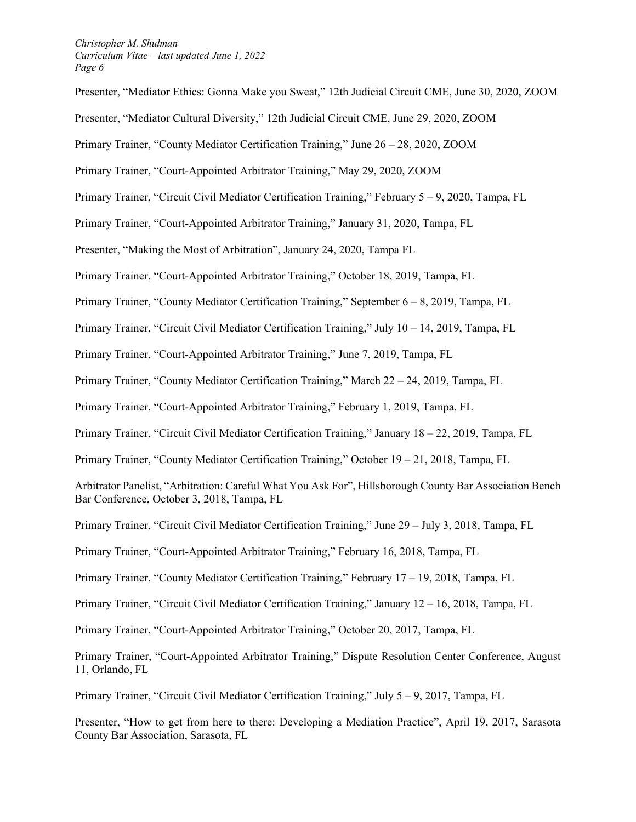Presenter, "Mediator Ethics: Gonna Make you Sweat," 12th Judicial Circuit CME, June 30, 2020, ZOOM Presenter, "Mediator Cultural Diversity," 12th Judicial Circuit CME, June 29, 2020, ZOOM Primary Trainer, "County Mediator Certification Training," June 26 – 28, 2020, ZOOM Primary Trainer, "Court-Appointed Arbitrator Training," May 29, 2020, ZOOM Primary Trainer, "Circuit Civil Mediator Certification Training," February 5 – 9, 2020, Tampa, FL Primary Trainer, "Court-Appointed Arbitrator Training," January 31, 2020, Tampa, FL Presenter, "Making the Most of Arbitration", January 24, 2020, Tampa FL Primary Trainer, "Court-Appointed Arbitrator Training," October 18, 2019, Tampa, FL Primary Trainer, "County Mediator Certification Training," September 6 – 8, 2019, Tampa, FL Primary Trainer, "Circuit Civil Mediator Certification Training," July 10 – 14, 2019, Tampa, FL Primary Trainer, "Court-Appointed Arbitrator Training," June 7, 2019, Tampa, FL Primary Trainer, "County Mediator Certification Training," March 22 – 24, 2019, Tampa, FL Primary Trainer, "Court-Appointed Arbitrator Training," February 1, 2019, Tampa, FL Primary Trainer, "Circuit Civil Mediator Certification Training," January 18 – 22, 2019, Tampa, FL Primary Trainer, "County Mediator Certification Training," October 19 – 21, 2018, Tampa, FL Arbitrator Panelist, "Arbitration: Careful What You Ask For", Hillsborough County Bar Association Bench Bar Conference, October 3, 2018, Tampa, FL Primary Trainer, "Circuit Civil Mediator Certification Training," June 29 – July 3, 2018, Tampa, FL Primary Trainer, "Court-Appointed Arbitrator Training," February 16, 2018, Tampa, FL Primary Trainer, "County Mediator Certification Training," February 17 – 19, 2018, Tampa, FL Primary Trainer, "Circuit Civil Mediator Certification Training," January 12 – 16, 2018, Tampa, FL Primary Trainer, "Court-Appointed Arbitrator Training," October 20, 2017, Tampa, FL Primary Trainer, "Court-Appointed Arbitrator Training," Dispute Resolution Center Conference, August 11, Orlando, FL

Primary Trainer, "Circuit Civil Mediator Certification Training," July 5 – 9, 2017, Tampa, FL

Presenter, "How to get from here to there: Developing a Mediation Practice", April 19, 2017, Sarasota County Bar Association, Sarasota, FL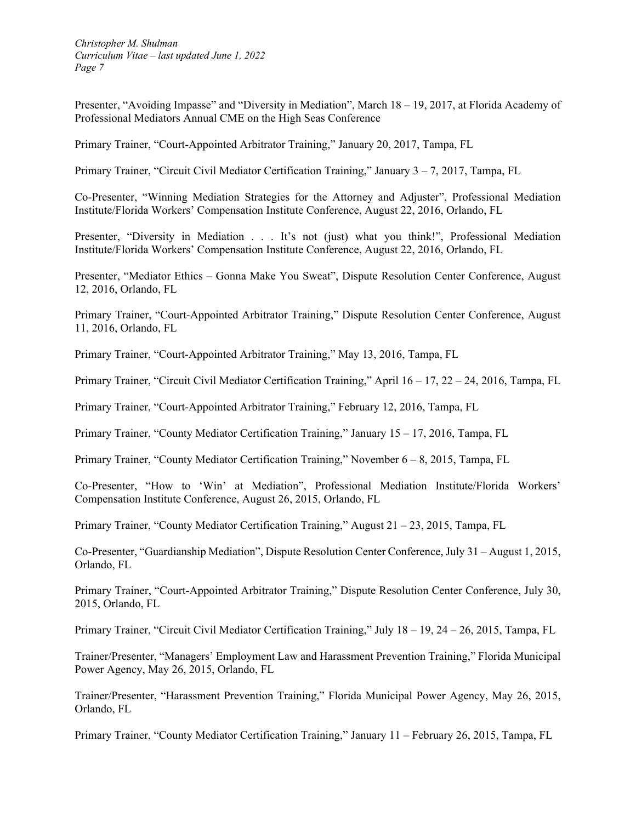Presenter, "Avoiding Impasse" and "Diversity in Mediation", March 18 – 19, 2017, at Florida Academy of Professional Mediators Annual CME on the High Seas Conference

Primary Trainer, "Court-Appointed Arbitrator Training," January 20, 2017, Tampa, FL

Primary Trainer, "Circuit Civil Mediator Certification Training," January 3 – 7, 2017, Tampa, FL

Co-Presenter, "Winning Mediation Strategies for the Attorney and Adjuster", Professional Mediation Institute/Florida Workers' Compensation Institute Conference, August 22, 2016, Orlando, FL

Presenter, "Diversity in Mediation . . . It's not (just) what you think!", Professional Mediation Institute/Florida Workers' Compensation Institute Conference, August 22, 2016, Orlando, FL

Presenter, "Mediator Ethics – Gonna Make You Sweat", Dispute Resolution Center Conference, August 12, 2016, Orlando, FL

Primary Trainer, "Court-Appointed Arbitrator Training," Dispute Resolution Center Conference, August 11, 2016, Orlando, FL

Primary Trainer, "Court-Appointed Arbitrator Training," May 13, 2016, Tampa, FL

Primary Trainer, "Circuit Civil Mediator Certification Training," April 16 – 17, 22 – 24, 2016, Tampa, FL

Primary Trainer, "Court-Appointed Arbitrator Training," February 12, 2016, Tampa, FL

Primary Trainer, "County Mediator Certification Training," January 15 – 17, 2016, Tampa, FL

Primary Trainer, "County Mediator Certification Training," November 6 – 8, 2015, Tampa, FL

Co-Presenter, "How to 'Win' at Mediation", Professional Mediation Institute/Florida Workers' Compensation Institute Conference, August 26, 2015, Orlando, FL

Primary Trainer, "County Mediator Certification Training," August  $21 - 23$ , 2015, Tampa, FL

Co-Presenter, "Guardianship Mediation", Dispute Resolution Center Conference, July 31 – August 1, 2015, Orlando, FL

Primary Trainer, "Court-Appointed Arbitrator Training," Dispute Resolution Center Conference, July 30, 2015, Orlando, FL

Primary Trainer, "Circuit Civil Mediator Certification Training," July 18 – 19, 24 – 26, 2015, Tampa, FL

Trainer/Presenter, "Managers' Employment Law and Harassment Prevention Training," Florida Municipal Power Agency, May 26, 2015, Orlando, FL

Trainer/Presenter, "Harassment Prevention Training," Florida Municipal Power Agency, May 26, 2015, Orlando, FL

Primary Trainer, "County Mediator Certification Training," January 11 – February 26, 2015, Tampa, FL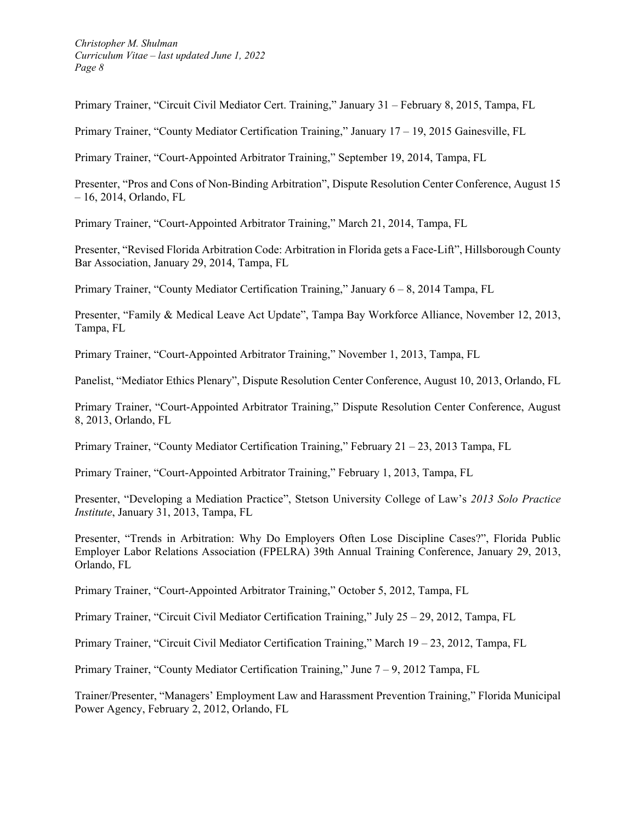Primary Trainer, "Circuit Civil Mediator Cert. Training," January 31 – February 8, 2015, Tampa, FL

Primary Trainer, "County Mediator Certification Training," January 17 – 19, 2015 Gainesville, FL

Primary Trainer, "Court-Appointed Arbitrator Training," September 19, 2014, Tampa, FL

Presenter, "Pros and Cons of Non-Binding Arbitration", Dispute Resolution Center Conference, August 15 – 16, 2014, Orlando, FL

Primary Trainer, "Court-Appointed Arbitrator Training," March 21, 2014, Tampa, FL

Presenter, "Revised Florida Arbitration Code: Arbitration in Florida gets a Face-Lift", Hillsborough County Bar Association, January 29, 2014, Tampa, FL

Primary Trainer, "County Mediator Certification Training," January 6 – 8, 2014 Tampa, FL

Presenter, "Family & Medical Leave Act Update", Tampa Bay Workforce Alliance, November 12, 2013, Tampa, FL

Primary Trainer, "Court-Appointed Arbitrator Training," November 1, 2013, Tampa, FL

Panelist, "Mediator Ethics Plenary", Dispute Resolution Center Conference, August 10, 2013, Orlando, FL

Primary Trainer, "Court-Appointed Arbitrator Training," Dispute Resolution Center Conference, August 8, 2013, Orlando, FL

Primary Trainer, "County Mediator Certification Training," February 21 – 23, 2013 Tampa, FL

Primary Trainer, "Court-Appointed Arbitrator Training," February 1, 2013, Tampa, FL

Presenter, "Developing a Mediation Practice", Stetson University College of Law's *2013 Solo Practice Institute*, January 31, 2013, Tampa, FL

Presenter, "Trends in Arbitration: Why Do Employers Often Lose Discipline Cases?", Florida Public Employer Labor Relations Association (FPELRA) 39th Annual Training Conference, January 29, 2013, Orlando, FL

Primary Trainer, "Court-Appointed Arbitrator Training," October 5, 2012, Tampa, FL

Primary Trainer, "Circuit Civil Mediator Certification Training," July 25 – 29, 2012, Tampa, FL

Primary Trainer, "Circuit Civil Mediator Certification Training," March 19 – 23, 2012, Tampa, FL

Primary Trainer, "County Mediator Certification Training," June 7 – 9, 2012 Tampa, FL

Trainer/Presenter, "Managers' Employment Law and Harassment Prevention Training," Florida Municipal Power Agency, February 2, 2012, Orlando, FL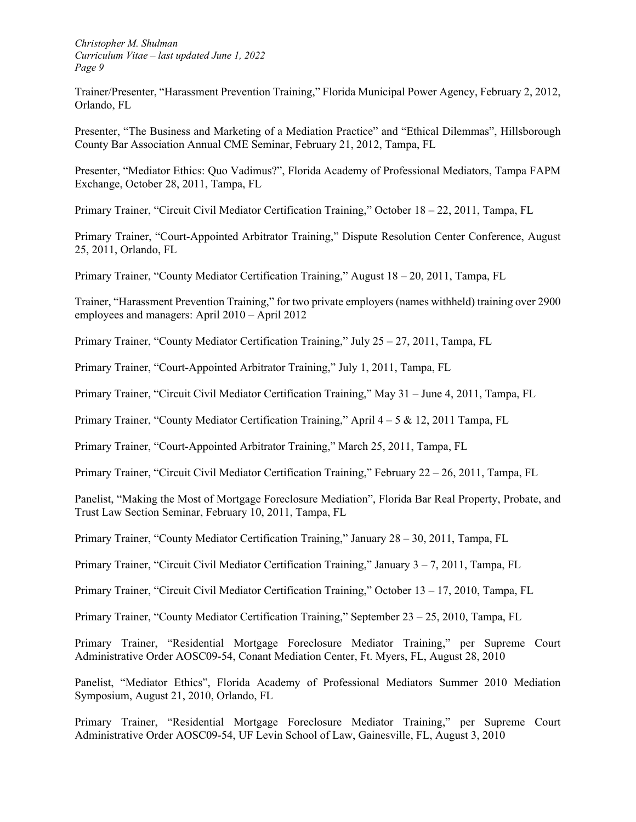Trainer/Presenter, "Harassment Prevention Training," Florida Municipal Power Agency, February 2, 2012, Orlando, FL

Presenter, "The Business and Marketing of a Mediation Practice" and "Ethical Dilemmas", Hillsborough County Bar Association Annual CME Seminar, February 21, 2012, Tampa, FL

Presenter, "Mediator Ethics: Quo Vadimus?", Florida Academy of Professional Mediators, Tampa FAPM Exchange, October 28, 2011, Tampa, FL

Primary Trainer, "Circuit Civil Mediator Certification Training," October 18 – 22, 2011, Tampa, FL

Primary Trainer, "Court-Appointed Arbitrator Training," Dispute Resolution Center Conference, August 25, 2011, Orlando, FL

Primary Trainer, "County Mediator Certification Training," August 18 – 20, 2011, Tampa, FL

Trainer, "Harassment Prevention Training," for two private employers (names withheld) training over 2900 employees and managers: April 2010 – April 2012

Primary Trainer, "County Mediator Certification Training," July 25 – 27, 2011, Tampa, FL

Primary Trainer, "Court-Appointed Arbitrator Training," July 1, 2011, Tampa, FL

Primary Trainer, "Circuit Civil Mediator Certification Training," May 31 – June 4, 2011, Tampa, FL

Primary Trainer, "County Mediator Certification Training," April  $4-5 \& 12$ , 2011 Tampa, FL

Primary Trainer, "Court-Appointed Arbitrator Training," March 25, 2011, Tampa, FL

Primary Trainer, "Circuit Civil Mediator Certification Training," February 22 – 26, 2011, Tampa, FL

Panelist, "Making the Most of Mortgage Foreclosure Mediation", Florida Bar Real Property, Probate, and Trust Law Section Seminar, February 10, 2011, Tampa, FL

Primary Trainer, "County Mediator Certification Training," January 28 – 30, 2011, Tampa, FL

Primary Trainer, "Circuit Civil Mediator Certification Training," January 3 – 7, 2011, Tampa, FL

Primary Trainer, "Circuit Civil Mediator Certification Training," October 13 – 17, 2010, Tampa, FL

Primary Trainer, "County Mediator Certification Training," September 23 – 25, 2010, Tampa, FL

Primary Trainer, "Residential Mortgage Foreclosure Mediator Training," per Supreme Court Administrative Order AOSC09-54, Conant Mediation Center, Ft. Myers, FL, August 28, 2010

Panelist, "Mediator Ethics", Florida Academy of Professional Mediators Summer 2010 Mediation Symposium, August 21, 2010, Orlando, FL

Primary Trainer, "Residential Mortgage Foreclosure Mediator Training," per Supreme Court Administrative Order AOSC09-54, UF Levin School of Law, Gainesville, FL, August 3, 2010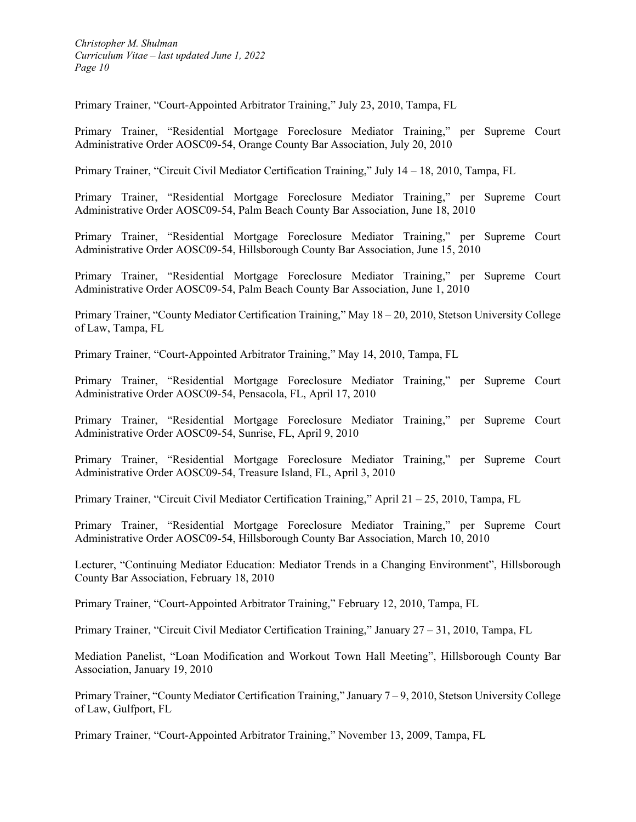Primary Trainer, "Court-Appointed Arbitrator Training," July 23, 2010, Tampa, FL

Primary Trainer, "Residential Mortgage Foreclosure Mediator Training," per Supreme Court Administrative Order AOSC09-54, Orange County Bar Association, July 20, 2010

Primary Trainer, "Circuit Civil Mediator Certification Training," July 14 – 18, 2010, Tampa, FL

Primary Trainer, "Residential Mortgage Foreclosure Mediator Training," per Supreme Court Administrative Order AOSC09-54, Palm Beach County Bar Association, June 18, 2010

Primary Trainer, "Residential Mortgage Foreclosure Mediator Training," per Supreme Court Administrative Order AOSC09-54, Hillsborough County Bar Association, June 15, 2010

Primary Trainer, "Residential Mortgage Foreclosure Mediator Training," per Supreme Court Administrative Order AOSC09-54, Palm Beach County Bar Association, June 1, 2010

Primary Trainer, "County Mediator Certification Training," May 18 – 20, 2010, Stetson University College of Law, Tampa, FL

Primary Trainer, "Court-Appointed Arbitrator Training," May 14, 2010, Tampa, FL

Primary Trainer, "Residential Mortgage Foreclosure Mediator Training," per Supreme Court Administrative Order AOSC09-54, Pensacola, FL, April 17, 2010

Primary Trainer, "Residential Mortgage Foreclosure Mediator Training," per Supreme Court Administrative Order AOSC09-54, Sunrise, FL, April 9, 2010

Primary Trainer, "Residential Mortgage Foreclosure Mediator Training," per Supreme Court Administrative Order AOSC09-54, Treasure Island, FL, April 3, 2010

Primary Trainer, "Circuit Civil Mediator Certification Training," April 21 – 25, 2010, Tampa, FL

Primary Trainer, "Residential Mortgage Foreclosure Mediator Training," per Supreme Court Administrative Order AOSC09-54, Hillsborough County Bar Association, March 10, 2010

Lecturer, "Continuing Mediator Education: Mediator Trends in a Changing Environment", Hillsborough County Bar Association, February 18, 2010

Primary Trainer, "Court-Appointed Arbitrator Training," February 12, 2010, Tampa, FL

Primary Trainer, "Circuit Civil Mediator Certification Training," January 27 – 31, 2010, Tampa, FL

Mediation Panelist, "Loan Modification and Workout Town Hall Meeting", Hillsborough County Bar Association, January 19, 2010

Primary Trainer, "County Mediator Certification Training," January 7 – 9, 2010, Stetson University College of Law, Gulfport, FL

Primary Trainer, "Court-Appointed Arbitrator Training," November 13, 2009, Tampa, FL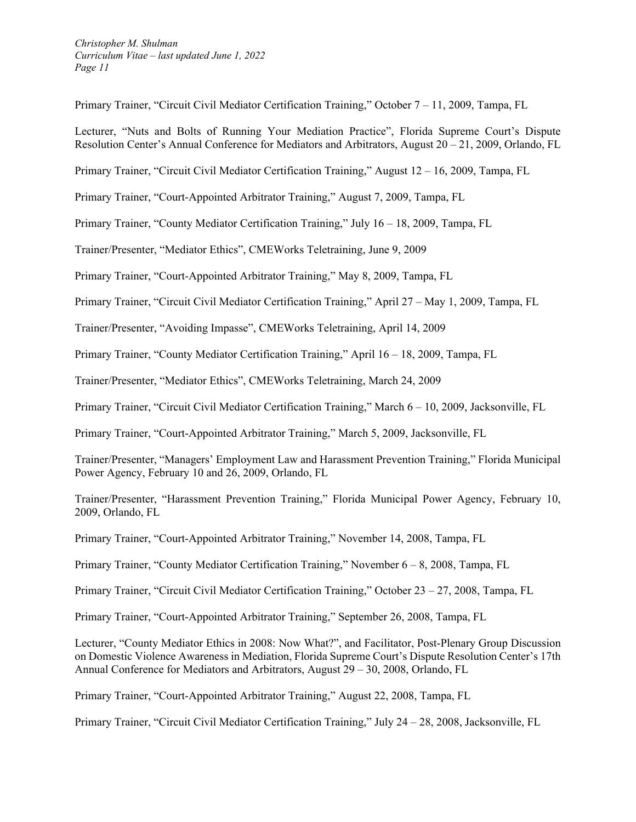Primary Trainer, "Circuit Civil Mediator Certification Training," October 7 – 11, 2009, Tampa, FL

Lecturer, "Nuts and Bolts of Running Your Mediation Practice", Florida Supreme Court's Dispute Resolution Center's Annual Conference for Mediators and Arbitrators, August 20 – 21, 2009, Orlando, FL

Primary Trainer, "Circuit Civil Mediator Certification Training," August 12 – 16, 2009, Tampa, FL

Primary Trainer, "Court-Appointed Arbitrator Training," August 7, 2009, Tampa, FL

Primary Trainer, "County Mediator Certification Training," July 16 – 18, 2009, Tampa, FL

Trainer/Presenter, "Mediator Ethics", CMEWorks Teletraining, June 9, 2009

Primary Trainer, "Court-Appointed Arbitrator Training," May 8, 2009, Tampa, FL

Primary Trainer, "Circuit Civil Mediator Certification Training," April 27 – May 1, 2009, Tampa, FL

Trainer/Presenter, "Avoiding Impasse", CMEWorks Teletraining, April 14, 2009

Primary Trainer, "County Mediator Certification Training," April 16 – 18, 2009, Tampa, FL

Trainer/Presenter, "Mediator Ethics", CMEWorks Teletraining, March 24, 2009

Primary Trainer, "Circuit Civil Mediator Certification Training," March 6 – 10, 2009, Jacksonville, FL

Primary Trainer, "Court-Appointed Arbitrator Training," March 5, 2009, Jacksonville, FL

Trainer/Presenter, "Managers' Employment Law and Harassment Prevention Training," Florida Municipal Power Agency, February 10 and 26, 2009, Orlando, FL

Trainer/Presenter, "Harassment Prevention Training," Florida Municipal Power Agency, February 10, 2009, Orlando, FL

Primary Trainer, "Court-Appointed Arbitrator Training," November 14, 2008, Tampa, FL

Primary Trainer, "County Mediator Certification Training," November 6 – 8, 2008, Tampa, FL

Primary Trainer, "Circuit Civil Mediator Certification Training," October 23 – 27, 2008, Tampa, FL

Primary Trainer, "Court-Appointed Arbitrator Training," September 26, 2008, Tampa, FL

Lecturer, "County Mediator Ethics in 2008: Now What?", and Facilitator, Post-Plenary Group Discussion on Domestic Violence Awareness in Mediation, Florida Supreme Court's Dispute Resolution Center's 17th Annual Conference for Mediators and Arbitrators, August 29 – 30, 2008, Orlando, FL

Primary Trainer, "Court-Appointed Arbitrator Training," August 22, 2008, Tampa, FL

Primary Trainer, "Circuit Civil Mediator Certification Training," July 24 – 28, 2008, Jacksonville, FL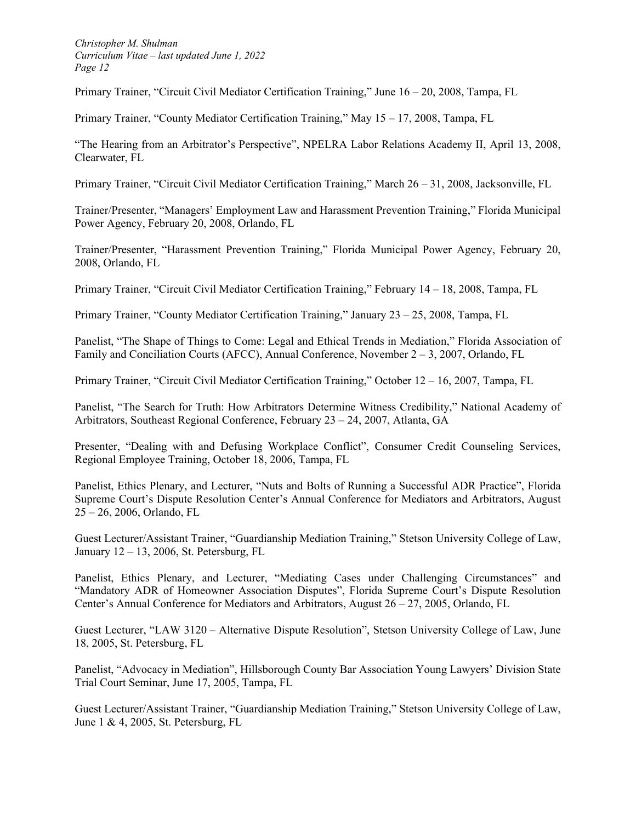Primary Trainer, "Circuit Civil Mediator Certification Training," June 16 – 20, 2008, Tampa, FL

Primary Trainer, "County Mediator Certification Training," May 15 – 17, 2008, Tampa, FL

"The Hearing from an Arbitrator's Perspective", NPELRA Labor Relations Academy II, April 13, 2008, Clearwater, FL

Primary Trainer, "Circuit Civil Mediator Certification Training," March 26 – 31, 2008, Jacksonville, FL

Trainer/Presenter, "Managers' Employment Law and Harassment Prevention Training," Florida Municipal Power Agency, February 20, 2008, Orlando, FL

Trainer/Presenter, "Harassment Prevention Training," Florida Municipal Power Agency, February 20, 2008, Orlando, FL

Primary Trainer, "Circuit Civil Mediator Certification Training," February 14 – 18, 2008, Tampa, FL

Primary Trainer, "County Mediator Certification Training," January 23 – 25, 2008, Tampa, FL

Panelist, "The Shape of Things to Come: Legal and Ethical Trends in Mediation," Florida Association of Family and Conciliation Courts (AFCC), Annual Conference, November 2 – 3, 2007, Orlando, FL

Primary Trainer, "Circuit Civil Mediator Certification Training," October 12 – 16, 2007, Tampa, FL

Panelist, "The Search for Truth: How Arbitrators Determine Witness Credibility," National Academy of Arbitrators, Southeast Regional Conference, February 23 – 24, 2007, Atlanta, GA

Presenter, "Dealing with and Defusing Workplace Conflict", Consumer Credit Counseling Services, Regional Employee Training, October 18, 2006, Tampa, FL

Panelist, Ethics Plenary, and Lecturer, "Nuts and Bolts of Running a Successful ADR Practice", Florida Supreme Court's Dispute Resolution Center's Annual Conference for Mediators and Arbitrators, August 25 – 26, 2006, Orlando, FL

Guest Lecturer/Assistant Trainer, "Guardianship Mediation Training," Stetson University College of Law, January 12 – 13, 2006, St. Petersburg, FL

Panelist, Ethics Plenary, and Lecturer, "Mediating Cases under Challenging Circumstances" and "Mandatory ADR of Homeowner Association Disputes", Florida Supreme Court's Dispute Resolution Center's Annual Conference for Mediators and Arbitrators, August 26 – 27, 2005, Orlando, FL

Guest Lecturer, "LAW 3120 – Alternative Dispute Resolution", Stetson University College of Law, June 18, 2005, St. Petersburg, FL

Panelist, "Advocacy in Mediation", Hillsborough County Bar Association Young Lawyers' Division State Trial Court Seminar, June 17, 2005, Tampa, FL

Guest Lecturer/Assistant Trainer, "Guardianship Mediation Training," Stetson University College of Law, June 1 & 4, 2005, St. Petersburg, FL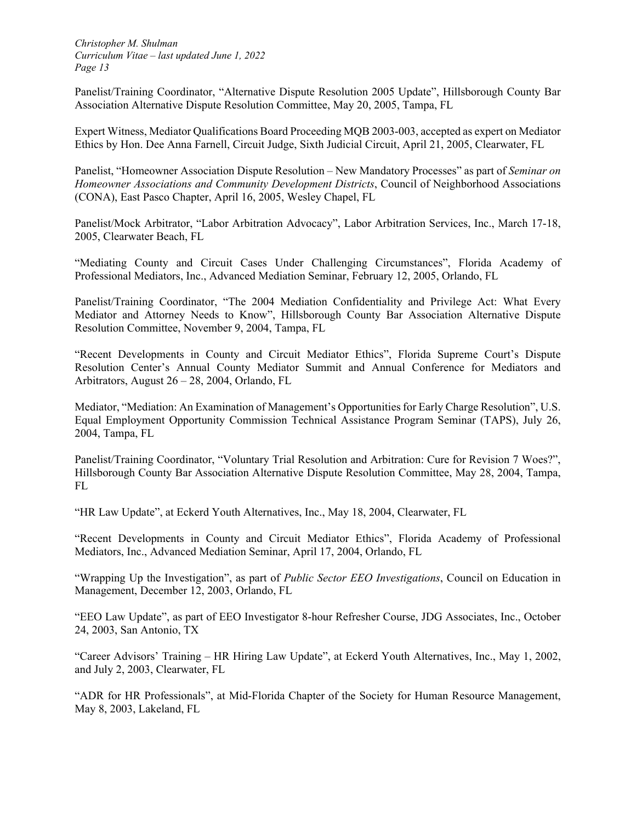Panelist/Training Coordinator, "Alternative Dispute Resolution 2005 Update", Hillsborough County Bar Association Alternative Dispute Resolution Committee, May 20, 2005, Tampa, FL

Expert Witness, Mediator Qualifications Board Proceeding MQB 2003-003, accepted as expert on Mediator Ethics by Hon. Dee Anna Farnell, Circuit Judge, Sixth Judicial Circuit, April 21, 2005, Clearwater, FL

Panelist, "Homeowner Association Dispute Resolution – New Mandatory Processes" as part of *Seminar on Homeowner Associations and Community Development Districts*, Council of Neighborhood Associations (CONA), East Pasco Chapter, April 16, 2005, Wesley Chapel, FL

Panelist/Mock Arbitrator, "Labor Arbitration Advocacy", Labor Arbitration Services, Inc., March 17-18, 2005, Clearwater Beach, FL

"Mediating County and Circuit Cases Under Challenging Circumstances", Florida Academy of Professional Mediators, Inc., Advanced Mediation Seminar, February 12, 2005, Orlando, FL

Panelist/Training Coordinator, "The 2004 Mediation Confidentiality and Privilege Act: What Every Mediator and Attorney Needs to Know", Hillsborough County Bar Association Alternative Dispute Resolution Committee, November 9, 2004, Tampa, FL

"Recent Developments in County and Circuit Mediator Ethics", Florida Supreme Court's Dispute Resolution Center's Annual County Mediator Summit and Annual Conference for Mediators and Arbitrators, August 26 – 28, 2004, Orlando, FL

Mediator, "Mediation: An Examination of Management's Opportunities for Early Charge Resolution", U.S. Equal Employment Opportunity Commission Technical Assistance Program Seminar (TAPS), July 26, 2004, Tampa, FL

Panelist/Training Coordinator, "Voluntary Trial Resolution and Arbitration: Cure for Revision 7 Woes?", Hillsborough County Bar Association Alternative Dispute Resolution Committee, May 28, 2004, Tampa, FL

"HR Law Update", at Eckerd Youth Alternatives, Inc., May 18, 2004, Clearwater, FL

"Recent Developments in County and Circuit Mediator Ethics", Florida Academy of Professional Mediators, Inc., Advanced Mediation Seminar, April 17, 2004, Orlando, FL

"Wrapping Up the Investigation", as part of *Public Sector EEO Investigations*, Council on Education in Management, December 12, 2003, Orlando, FL

"EEO Law Update", as part of EEO Investigator 8-hour Refresher Course, JDG Associates, Inc., October 24, 2003, San Antonio, TX

"Career Advisors' Training – HR Hiring Law Update", at Eckerd Youth Alternatives, Inc., May 1, 2002, and July 2, 2003, Clearwater, FL

"ADR for HR Professionals", at Mid-Florida Chapter of the Society for Human Resource Management, May 8, 2003, Lakeland, FL